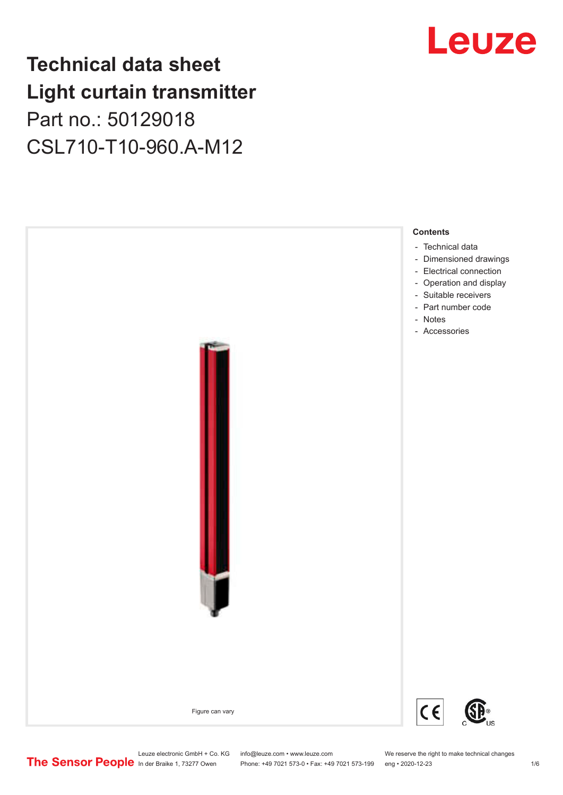# **Technical data sheet Light curtain transmitter** Part no.: 50129018 CSL710-T10-960.A-M12



# Leuze

Phone: +49 7021 573-0 • Fax: +49 7021 573-199 eng • 2020-12-23 1 76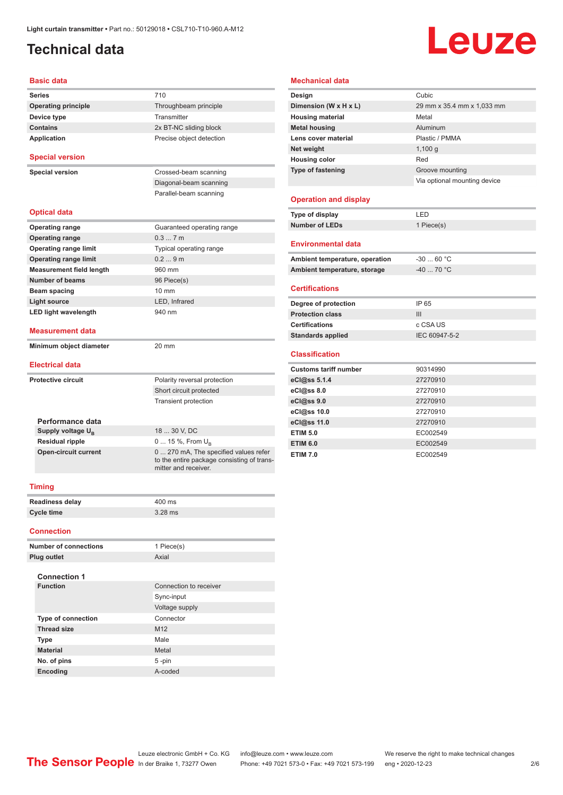# <span id="page-1-0"></span>**Technical data**

# Leuze

#### **Basic data**

| <b>Series</b>                                         | 710                                                                   |  |  |  |  |
|-------------------------------------------------------|-----------------------------------------------------------------------|--|--|--|--|
| <b>Operating principle</b>                            | Throughbeam principle                                                 |  |  |  |  |
| Device type                                           | Transmitter                                                           |  |  |  |  |
| <b>Contains</b>                                       | 2x BT-NC sliding block                                                |  |  |  |  |
| <b>Application</b>                                    | Precise object detection                                              |  |  |  |  |
| <b>Special version</b>                                |                                                                       |  |  |  |  |
| <b>Special version</b>                                | Crossed-beam scanning                                                 |  |  |  |  |
|                                                       | Diagonal-beam scanning                                                |  |  |  |  |
|                                                       | Parallel-beam scanning                                                |  |  |  |  |
| <b>Optical data</b>                                   |                                                                       |  |  |  |  |
| <b>Operating range</b>                                | Guaranteed operating range                                            |  |  |  |  |
| <b>Operating range</b>                                | 0.37m                                                                 |  |  |  |  |
| <b>Operating range limit</b>                          | Typical operating range                                               |  |  |  |  |
| <b>Operating range limit</b>                          | 0.29m                                                                 |  |  |  |  |
| <b>Measurement field length</b>                       | 960 mm                                                                |  |  |  |  |
| Number of beams                                       | 96 Piece(s)                                                           |  |  |  |  |
| Beam spacing                                          | $10 \text{ mm}$                                                       |  |  |  |  |
| <b>Light source</b>                                   | LED, Infrared                                                         |  |  |  |  |
| <b>LED light wavelength</b>                           | 940 nm                                                                |  |  |  |  |
| <b>Measurement data</b>                               |                                                                       |  |  |  |  |
| Minimum object diameter                               | 20 mm                                                                 |  |  |  |  |
| <b>Electrical data</b>                                |                                                                       |  |  |  |  |
| <b>Protective circuit</b>                             | Polarity reversal protection                                          |  |  |  |  |
|                                                       | Short circuit protected                                               |  |  |  |  |
|                                                       | <b>Transient protection</b>                                           |  |  |  |  |
|                                                       |                                                                       |  |  |  |  |
| Performance data                                      | 18  30 V, DC                                                          |  |  |  |  |
| Supply voltage U <sub>R</sub>                         |                                                                       |  |  |  |  |
| <b>Residual ripple</b><br><b>Open-circuit current</b> | 0  15 %, From U <sub>p</sub><br>0  270 mA, The specified values refer |  |  |  |  |
|                                                       | to the entire package consisting of trans-<br>mitter and receiver.    |  |  |  |  |
| <b>Timing</b>                                         |                                                                       |  |  |  |  |
| <b>Readiness delay</b>                                | 400 ms                                                                |  |  |  |  |
| <b>Cycle time</b>                                     | $3.28$ ms                                                             |  |  |  |  |
|                                                       |                                                                       |  |  |  |  |
| <b>Connection</b>                                     |                                                                       |  |  |  |  |

#### **Number of connections** 1 Piece(s) **Plug outlet** Axial **Connection 1 Connection** to receiver Sync-input Voltage supply **Type of connection** Connector **Thread size** M12 **Type** Male **Material** Metal **No. of pins** 5 -pin **Encoding** A-coded

#### **Mechanical data**

| Design                       | Cubic                        |
|------------------------------|------------------------------|
| Dimension (W x H x L)        | 29 mm x 35.4 mm x 1,033 mm   |
| <b>Housing material</b>      | Metal                        |
| <b>Metal housing</b>         | Aluminum                     |
| Lens cover material          | Plastic / PMMA               |
| Net weight                   | $1,100$ q                    |
| <b>Housing color</b>         | Red                          |
| <b>Type of fastening</b>     | Groove mounting              |
|                              | Via optional mounting device |
|                              |                              |
| <b>Operation and display</b> |                              |
| Type of display              | LED                          |
| <b>Number of LEDs</b>        | 1 Piece(s)                   |
|                              |                              |

#### **Environmental data**

| Ambient temperature, operation | -30  60 °C |
|--------------------------------|------------|
| Ambient temperature, storage   | -40  70 °C |

#### **Certifications**

| IP 65         |
|---------------|
| Ш             |
| c CSA US      |
| IEC 60947-5-2 |
|               |

#### **Classification**

| <b>Customs tariff number</b> | 90314990 |
|------------------------------|----------|
| eCl@ss 5.1.4                 | 27270910 |
| eCl@ss 8.0                   | 27270910 |
| eCl@ss 9.0                   | 27270910 |
| eCl@ss 10.0                  | 27270910 |
| eCl@ss 11.0                  | 27270910 |
| <b>ETIM 5.0</b>              | EC002549 |
| <b>ETIM 6.0</b>              | EC002549 |
| <b>ETIM 7.0</b>              | EC002549 |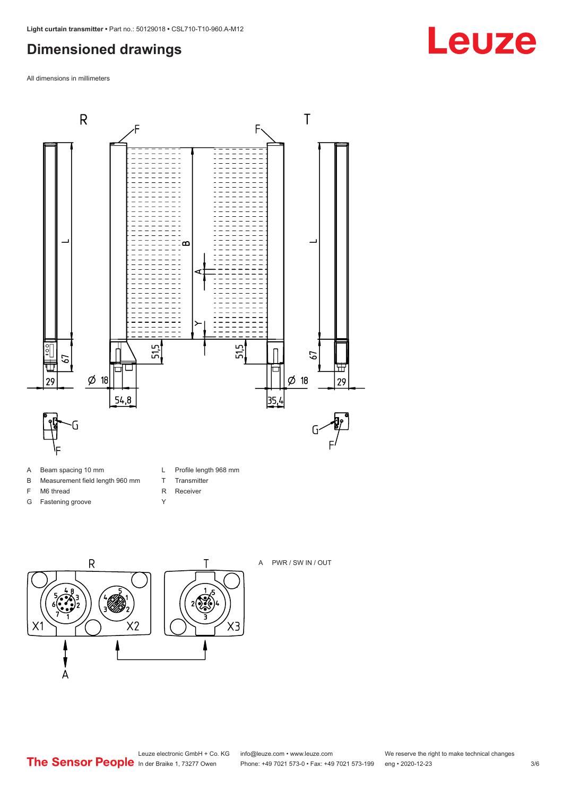## <span id="page-2-0"></span>**Dimensioned drawings**

All dimensions in millimeters



- B Measurement field length 960 mm
- F M6 thread
- G Fastening groove
- L Profile length 968 mm
- T Transmitter
- R Receiver Y
- $\overline{R}$ Τ  $2\sqrt{2}$  $X<sub>2</sub>$ X1



# $X3$  $\overline{A}$

# Leuze electronic GmbH + Co. KG info@leuze.com • www.leuze.com We reserve the right to make technical changes<br>
The Sensor People in der Braike 1, 73277 Owen Phone: +49 7021 573-0 • Fax: +49 7021 573-199 eng • 2020-12-23

**Leuze**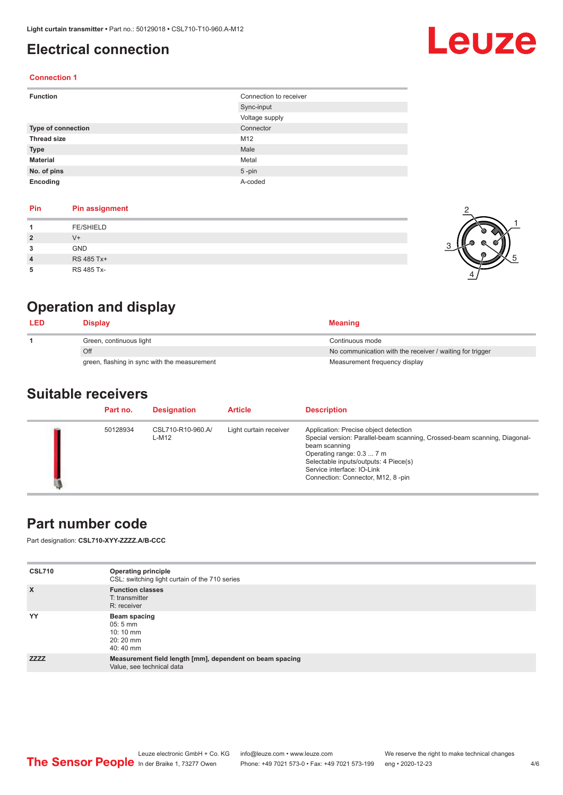## <span id="page-3-0"></span>**Electrical connection**

# Leuze

2

1

5

#### **Connection 1**

| <b>Function</b>    | Connection to receiver |
|--------------------|------------------------|
|                    | Sync-input             |
|                    | Voltage supply         |
| Type of connection | Connector              |
| <b>Thread size</b> | M12                    |
| <b>Type</b>        | Male                   |
| <b>Material</b>    | Metal                  |
| No. of pins        | $5$ -pin               |
| Encoding           | A-coded                |

#### **Pin Pin assignment**

|   | <b>FE/SHIELD</b> |  |
|---|------------------|--|
|   | $V^+$            |  |
| 3 | GND              |  |
| 4 | RS 485 Tx+       |  |
| 5 | RS 485 Tx-       |  |

## **Operation and display**

| <b>LED</b> | <b>Display</b>                               | <b>Meaning</b>                                           |
|------------|----------------------------------------------|----------------------------------------------------------|
|            | Green, continuous light                      | Continuous mode                                          |
|            | Off                                          | No communication with the receiver / waiting for trigger |
|            | green, flashing in sync with the measurement | Measurement frequency display                            |

#### **Suitable receivers**

| Part no. | <b>Designation</b>         | <b>Article</b>         | <b>Description</b>                                                                                                                                                                                                                                                           |
|----------|----------------------------|------------------------|------------------------------------------------------------------------------------------------------------------------------------------------------------------------------------------------------------------------------------------------------------------------------|
| 50128934 | CSL710-R10-960.A/<br>L-M12 | Light curtain receiver | Application: Precise object detection<br>Special version: Parallel-beam scanning, Crossed-beam scanning, Diagonal-<br>beam scanning<br>Operating range: 0.3  7 m<br>Selectable inputs/outputs: 4 Piece(s)<br>Service interface: IO-Link<br>Connection: Connector, M12, 8-pin |

#### **Part number code**

Part designation: **CSL710-XYY-ZZZZ.A/B-CCC**

| <b>CSL710</b> | <b>Operating principle</b><br>CSL: switching light curtain of the 710 series          |
|---------------|---------------------------------------------------------------------------------------|
| $\mathsf{x}$  | <b>Function classes</b><br>T: transmitter<br>R: receiver                              |
| YY            | Beam spacing<br>$05:5 \, \text{mm}$<br>$10:10 \, \text{mm}$<br>$20:20$ mm<br>40:40 mm |
| <b>ZZZZ</b>   | Measurement field length [mm], dependent on beam spacing<br>Value, see technical data |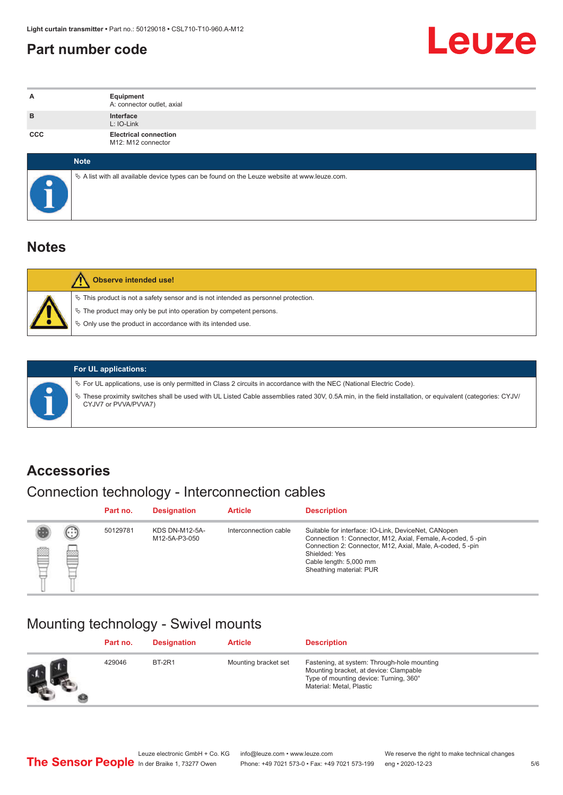#### <span id="page-4-0"></span>**Part number code**



| А          | Equipment<br>A: connector outlet, axial                                                         |
|------------|-------------------------------------------------------------------------------------------------|
| B          | Interface<br>L: IO-Link                                                                         |
| <b>CCC</b> | <b>Electrical connection</b><br>M12: M12 connector                                              |
|            | <b>Note</b>                                                                                     |
|            | $\&$ A list with all available device types can be found on the Leuze website at www.leuze.com. |

#### **Notes**

| <b>Observe intended use!</b>                                                                                                                                                                                                     |
|----------------------------------------------------------------------------------------------------------------------------------------------------------------------------------------------------------------------------------|
| $\%$ This product is not a safety sensor and is not intended as personnel protection.<br>$\&$ The product may only be put into operation by competent persons.<br>$\%$ Only use the product in accordance with its intended use. |

ª These proximity switches shall be used with UL Listed Cable assemblies rated 30V, 0.5A min, in the field installation, or equivalent (categories: CYJV/

ª For UL applications, use is only permitted in Class 2 circuits in accordance with the NEC (National Electric Code).

**For UL applications:**

CYJV7 or PVVA/PVVA7)

**Accessories**

# Connection technology - Interconnection cables

|   |                              | Part no. | <b>Designation</b>                     | <b>Article</b>        | <b>Description</b>                                                                                                                                                                                                                                    |
|---|------------------------------|----------|----------------------------------------|-----------------------|-------------------------------------------------------------------------------------------------------------------------------------------------------------------------------------------------------------------------------------------------------|
| ▩ | $\left( \ldots \right)$<br>▩ | 50129781 | <b>KDS DN-M12-5A-</b><br>M12-5A-P3-050 | Interconnection cable | Suitable for interface: IO-Link, DeviceNet, CANopen<br>Connection 1: Connector, M12, Axial, Female, A-coded, 5-pin<br>Connection 2: Connector, M12, Axial, Male, A-coded, 5-pin<br>Shielded: Yes<br>Cable length: 5,000 mm<br>Sheathing material: PUR |

#### Mounting technology - Swivel mounts

| Part no. | <b>Designation</b> | <b>Article</b>       | <b>Description</b>                                                                                                                                          |
|----------|--------------------|----------------------|-------------------------------------------------------------------------------------------------------------------------------------------------------------|
| 429046   | <b>BT-2R1</b>      | Mounting bracket set | Fastening, at system: Through-hole mounting<br>Mounting bracket, at device: Clampable<br>Type of mounting device: Turning, 360°<br>Material: Metal, Plastic |